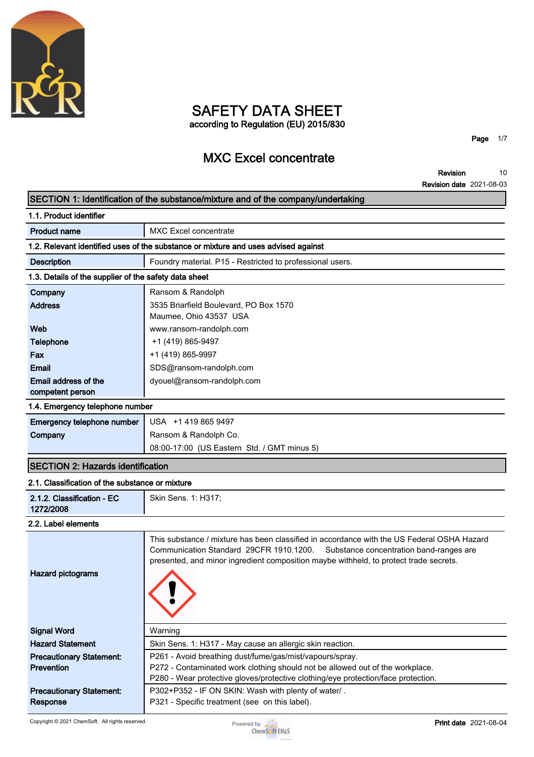

## **SAFETY DATA SHEET according to Regulation (EU) 2015/830**

**MXC Excel concentrate**

**Page 1/7**

**Revision Revision date 2021-08-03 10**

## **SECTION 1: Identification of the substance/mixture and of the company/undertaking**

| 1.1. Product identifier                                                            |                                                                                                                                                                                                                                                                           |  |  |
|------------------------------------------------------------------------------------|---------------------------------------------------------------------------------------------------------------------------------------------------------------------------------------------------------------------------------------------------------------------------|--|--|
| <b>Product name</b>                                                                | <b>MXC Excel concentrate</b>                                                                                                                                                                                                                                              |  |  |
| 1.2. Relevant identified uses of the substance or mixture and uses advised against |                                                                                                                                                                                                                                                                           |  |  |
| <b>Description</b>                                                                 | Foundry material. P15 - Restricted to professional users.                                                                                                                                                                                                                 |  |  |
| 1.3. Details of the supplier of the safety data sheet                              |                                                                                                                                                                                                                                                                           |  |  |
| Company                                                                            | Ransom & Randolph                                                                                                                                                                                                                                                         |  |  |
| <b>Address</b>                                                                     | 3535 Briarfield Boulevard, PO Box 1570<br>Maumee, Ohio 43537 USA                                                                                                                                                                                                          |  |  |
| Web                                                                                | www.ransom-randolph.com                                                                                                                                                                                                                                                   |  |  |
| Telephone                                                                          | +1 (419) 865-9497                                                                                                                                                                                                                                                         |  |  |
| Fax                                                                                | +1 (419) 865-9997                                                                                                                                                                                                                                                         |  |  |
| Email                                                                              | SDS@ransom-randolph.com                                                                                                                                                                                                                                                   |  |  |
| Email address of the<br>competent person                                           | dyouel@ransom-randolph.com                                                                                                                                                                                                                                                |  |  |
| 1.4. Emergency telephone number                                                    |                                                                                                                                                                                                                                                                           |  |  |
| Emergency telephone number                                                         | USA +1 419 865 9497                                                                                                                                                                                                                                                       |  |  |
| Company                                                                            | Ransom & Randolph Co.                                                                                                                                                                                                                                                     |  |  |
|                                                                                    | 08:00-17:00 (US Eastern Std. / GMT minus 5)                                                                                                                                                                                                                               |  |  |
| <b>SECTION 2: Hazards identification</b>                                           |                                                                                                                                                                                                                                                                           |  |  |
| 2.1. Classification of the substance or mixture                                    |                                                                                                                                                                                                                                                                           |  |  |
| 2.1.2. Classification - EC<br>1272/2008                                            | Skin Sens. 1: H317;                                                                                                                                                                                                                                                       |  |  |
| 2.2. Label elements                                                                |                                                                                                                                                                                                                                                                           |  |  |
| <b>Hazard pictograms</b>                                                           | This substance / mixture has been classified in accordance with the US Federal OSHA Hazard<br>Communication Standard 29CFR 1910.1200.<br>Substance concentration band-ranges are<br>presented, and minor ingredient composition maybe withheld, to protect trade secrets. |  |  |
| <b>Signal Word</b>                                                                 | Warning                                                                                                                                                                                                                                                                   |  |  |
| <b>Hazard Statement</b>                                                            | Skin Sens. 1: H317 - May cause an allergic skin reaction.                                                                                                                                                                                                                 |  |  |
| <b>Precautionary Statement:</b>                                                    | P261 - Avoid breathing dust/fume/gas/mist/vapours/spray.                                                                                                                                                                                                                  |  |  |
| Prevention                                                                         | P272 - Contaminated work clothing should not be allowed out of the workplace.                                                                                                                                                                                             |  |  |

**Precautionary Statement: Response**



**P302+P352 - IF ON SKIN: Wash with plenty of water/ .**

**P321 - Specific treatment (see on this label).**

**P272 - Contaminated work clothing should not be allowed out of the workplace. P280 - Wear protective gloves/protective clothing/eye protection/face protection.**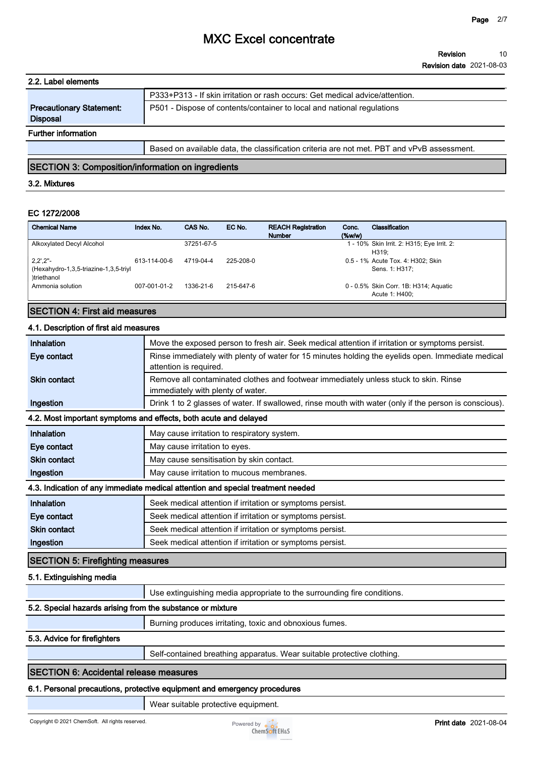| 2.2. Label elements                                |                                                                                            |
|----------------------------------------------------|--------------------------------------------------------------------------------------------|
|                                                    | P333+P313 - If skin irritation or rash occurs: Get medical advice/attention.               |
| <b>Precautionary Statement:</b><br><b>Disposal</b> | P501 - Dispose of contents/container to local and national regulations                     |
| <b>Further information</b>                         |                                                                                            |
|                                                    | Based on available data, the classification criteria are not met. PBT and vPvB assessment. |

## **SECTION 3: Composition/information on ingredients**

## **3.2. Mixtures**

## **EC 1272/2008**

| <b>Chemical Name</b>                                                                      | Index No.    | CAS No.    | EC No.    | <b>REACH Registration</b><br><b>Number</b> | Conc.<br>$(\%w/w)$ | Classification                                          |
|-------------------------------------------------------------------------------------------|--------------|------------|-----------|--------------------------------------------|--------------------|---------------------------------------------------------|
| Alkoxylated Decyl Alcohol                                                                 |              | 37251-67-5 |           |                                            |                    | 1 - 10% Skin Irrit. 2: H315; Eye Irrit. 2:<br>H319:     |
| $2,2^{\prime},2^{\prime\prime}$ -<br>(Hexahydro-1,3,5-triazine-1,3,5-triyl<br>)triethanol | 613-114-00-6 | 4719-04-4  | 225-208-0 |                                            |                    | 0.5 - 1% Acute Tox. 4: H302; Skin<br>Sens. 1: H317:     |
| Ammonia solution                                                                          | 007-001-01-2 | 1336-21-6  | 215-647-6 |                                            |                    | 0 - 0.5% Skin Corr. 1B: H314; Aguatic<br>Acute 1: H400: |

## **SECTION 4: First aid measures**

### **4.1. Description of first aid measures**

| Inhalation                                                                      | Move the exposed person to fresh air. Seek medical attention if irritation or symptoms persist.                             |  |  |
|---------------------------------------------------------------------------------|-----------------------------------------------------------------------------------------------------------------------------|--|--|
| Eye contact                                                                     | Rinse immediately with plenty of water for 15 minutes holding the eyelids open. Immediate medical<br>attention is required. |  |  |
| <b>Skin contact</b>                                                             | Remove all contaminated clothes and footwear immediately unless stuck to skin. Rinse<br>immediately with plenty of water.   |  |  |
| Ingestion                                                                       | Drink 1 to 2 glasses of water. If swallowed, rinse mouth with water (only if the person is conscious).                      |  |  |
|                                                                                 | 4.2. Most important symptoms and effects, both acute and delayed                                                            |  |  |
| Inhalation                                                                      | May cause irritation to respiratory system.                                                                                 |  |  |
| Eye contact                                                                     | May cause irritation to eyes.                                                                                               |  |  |
| <b>Skin contact</b>                                                             | May cause sensitisation by skin contact.                                                                                    |  |  |
| Ingestion                                                                       | May cause irritation to mucous membranes.                                                                                   |  |  |
| 4.3. Indication of any immediate medical attention and special treatment needed |                                                                                                                             |  |  |
| Inhalation                                                                      | Seek medical attention if irritation or symptoms persist.                                                                   |  |  |
| Eye contact                                                                     | Seek medical attention if irritation or symptoms persist.                                                                   |  |  |
| <b>Skin contact</b>                                                             | Seek medical attention if irritation or symptoms persist.                                                                   |  |  |
|                                                                                 | Seek medical attention if irritation or symptoms persist.                                                                   |  |  |

## **5.1. Extinguishing media**

**Use extinguishing media appropriate to the surrounding fire conditions.**

## **5.2. Special hazards arising from the substance or mixture**

**Burning produces irritating, toxic and obnoxious fumes.**

## **5.3. Advice for firefighters**

**Self-contained breathing apparatus. Wear suitable protective clothing.**

## **SECTION 6: Accidental release measures**

### **6.1. Personal precautions, protective equipment and emergency procedures**

**Wear suitable protective equipment.**

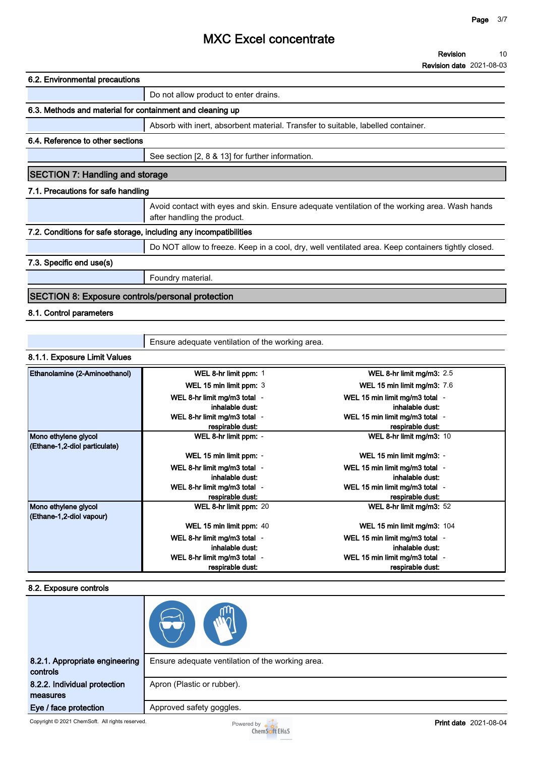**Revision date 2021-08-03**

| 6.2. Environmental precautions                                                                                               |  |  |
|------------------------------------------------------------------------------------------------------------------------------|--|--|
| Do not allow product to enter drains.                                                                                        |  |  |
| 6.3. Methods and material for containment and cleaning up                                                                    |  |  |
| Absorb with inert, absorbent material. Transfer to suitable, labelled container.                                             |  |  |
| 6.4. Reference to other sections                                                                                             |  |  |
| See section [2, 8 & 13] for further information.                                                                             |  |  |
| <b>SECTION 7: Handling and storage</b>                                                                                       |  |  |
| 7.1. Precautions for safe handling                                                                                           |  |  |
| Avoid contact with eyes and skin. Ensure adequate ventilation of the working area. Wash hands<br>after handling the product. |  |  |
| 7.2. Conditions for safe storage, including any incompatibilities                                                            |  |  |
| Do NOT allow to freeze. Keep in a cool, dry, well ventilated area. Keep containers tightly closed.                           |  |  |
| 7.3. Specific end use(s)                                                                                                     |  |  |
| Foundry material.                                                                                                            |  |  |
| <b>SECTION 8: Exposure controls/personal protection</b>                                                                      |  |  |
| 8.1. Control parameters                                                                                                      |  |  |

**Ensure adequate ventilation of the working area.**

## **8.1.1. Exposure Limit Values**

| Ethanolamine (2-Aminoethanol) | WEL 8-hr limit ppm: 1        | WEL 8-hr limit mg/m3: 2.5          |
|-------------------------------|------------------------------|------------------------------------|
|                               | WEL 15 min limit ppm: 3      | <b>WEL 15 min limit mg/m3: 7.6</b> |
|                               | WEL 8-hr limit mg/m3 total - | WEL 15 min limit mg/m3 total -     |
|                               | inhalable dust:              | inhalable dust:                    |
|                               | WEL 8-hr limit mg/m3 total - | WEL 15 min limit mg/m3 total -     |
|                               | respirable dust:             | respirable dust:                   |
| Mono ethylene glycol          | WEL 8-hr limit ppm: -        | WEL 8-hr limit mg/m3: 10           |
| (Ethane-1,2-diol particulate) |                              |                                    |
|                               | WEL 15 min limit ppm: -      | WEL 15 min limit mg/m3: -          |
|                               | WEL 8-hr limit mg/m3 total - | WEL 15 min limit mg/m3 total -     |
|                               | inhalable dust:              | inhalable dust:                    |
|                               | WEL 8-hr limit mg/m3 total - | WEL 15 min limit mg/m3 total -     |
|                               | respirable dust:             | respirable dust:                   |
| Mono ethylene glycol          | WEL 8-hr limit ppm: 20       | WEL 8-hr limit mg/m3: 52           |
| (Ethane-1,2-diol vapour)      |                              |                                    |
|                               | WEL 15 min limit ppm: 40     | WEL 15 min limit mg/m3: 104        |
|                               | WEL 8-hr limit mg/m3 total - | WEL 15 min limit mg/m3 total -     |
|                               | inhalable dust:              | inhalable dust:                    |
|                               | WEL 8-hr limit mg/m3 total - | WEL 15 min limit mg/m3 total -     |
|                               | respirable dust:             | respirable dust:                   |

## **8.2. Exposure controls**

| 8.2.1. Appropriate engineering<br>controls | Ensure adequate ventilation of the working area. |
|--------------------------------------------|--------------------------------------------------|
| 8.2.2. Individual protection               | Apron (Plastic or rubber).                       |
| measures                                   |                                                  |
| Eye / face protection                      | Approved safety goggles.                         |

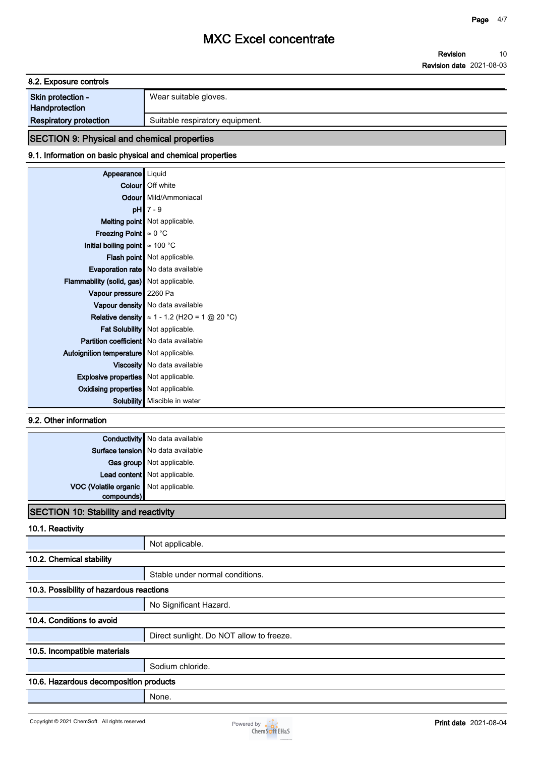**8.2. Exposure controls**

| Skin protection - | Wear suitable gloves. |
|-------------------|-----------------------|
| Handprotection    |                       |

**Respiratory protection** <br> **Suitable respiratory equipment.** 

# **SECTION 9: Physical and chemical properties**

## **9.1. Information on basic physical and chemical properties**

| Appearance   Liquid                            |                                                                           |
|------------------------------------------------|---------------------------------------------------------------------------|
|                                                | Colour Off white                                                          |
|                                                | <b>Odour</b> Mild/Ammoniacal                                              |
|                                                | $pH$ 7 - 9                                                                |
|                                                | <b>Melting point</b> Not applicable.                                      |
| <b>Freezing Point</b> $\approx 0$ °C           |                                                                           |
| Initial boiling point $\approx 100$ °C         |                                                                           |
|                                                | <b>Flash point</b> Not applicable.                                        |
|                                                | <b>Evaporation rate</b> No data available                                 |
| Flammability (solid, gas) Not applicable.      |                                                                           |
| Vapour pressure 2260 Pa                        |                                                                           |
|                                                | Vapour density No data available                                          |
|                                                | <b>Relative density</b> $\approx$ 1 - 1.2 (H2O = 1 $\textcircled{20}$ °C) |
|                                                | Fat Solubility   Not applicable.                                          |
| <b>Partition coefficient</b> No data available |                                                                           |
| Autoignition temperature   Not applicable.     |                                                                           |
|                                                | Viscosity   No data available                                             |
| <b>Explosive properties</b> Not applicable.    |                                                                           |
| <b>Oxidising properties</b> Not applicable.    |                                                                           |
| <b>Solubility</b>                              | Miscible in water                                                         |

## **9.2. Other information**

|                                                     | <b>Conductivity</b> No data available |  |
|-----------------------------------------------------|---------------------------------------|--|
|                                                     | Surface tension   No data available   |  |
|                                                     | Gas group Not applicable.             |  |
|                                                     | Lead content Not applicable.          |  |
| VOC (Volatile organic Not applicable.<br>compounds) |                                       |  |
|                                                     |                                       |  |
| <b>SECTION 10: Stability and reactivity</b>         |                                       |  |

## **10.1. Reactivity**

|                                          | Not applicable.                          |  |  |
|------------------------------------------|------------------------------------------|--|--|
| 10.2. Chemical stability                 |                                          |  |  |
|                                          | Stable under normal conditions.          |  |  |
| 10.3. Possibility of hazardous reactions |                                          |  |  |
|                                          | No Significant Hazard.                   |  |  |
| 10.4. Conditions to avoid                |                                          |  |  |
|                                          | Direct sunlight. Do NOT allow to freeze. |  |  |
| 10.5. Incompatible materials             |                                          |  |  |
|                                          | Sodium chloride.                         |  |  |
| 10.6. Hazardous decomposition products   |                                          |  |  |
|                                          | None.                                    |  |  |

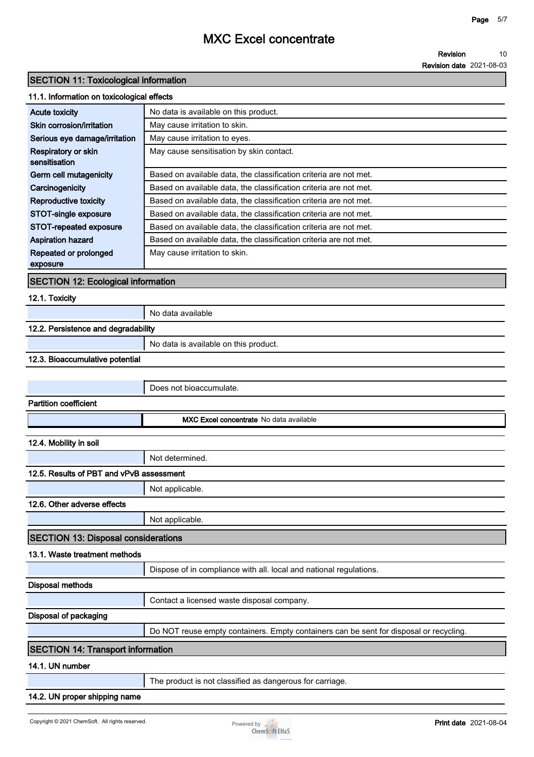#### **Revision 10**

**Revision date 2021-08-03**

## **SECTION 11: Toxicological information**

## **11.1. Information on toxicological effects**

| No data is available on this product.<br><b>Acute toxicity</b><br>Skin corrosion/irritation<br>May cause irritation to skin.<br>May cause irritation to eyes.<br>Serious eye damage/irritation<br>May cause sensitisation by skin contact.<br>Respiratory or skin<br>sensitisation<br>Germ cell mutagenicity<br>Based on available data, the classification criteria are not met. |
|-----------------------------------------------------------------------------------------------------------------------------------------------------------------------------------------------------------------------------------------------------------------------------------------------------------------------------------------------------------------------------------|
|                                                                                                                                                                                                                                                                                                                                                                                   |
|                                                                                                                                                                                                                                                                                                                                                                                   |
|                                                                                                                                                                                                                                                                                                                                                                                   |
|                                                                                                                                                                                                                                                                                                                                                                                   |
|                                                                                                                                                                                                                                                                                                                                                                                   |
|                                                                                                                                                                                                                                                                                                                                                                                   |
| Based on available data, the classification criteria are not met.<br>Carcinogenicity                                                                                                                                                                                                                                                                                              |
| Reproductive toxicity<br>Based on available data, the classification criteria are not met.                                                                                                                                                                                                                                                                                        |
| STOT-single exposure<br>Based on available data, the classification criteria are not met.                                                                                                                                                                                                                                                                                         |
| Based on available data, the classification criteria are not met.<br>STOT-repeated exposure                                                                                                                                                                                                                                                                                       |
| Based on available data, the classification criteria are not met.<br><b>Aspiration hazard</b>                                                                                                                                                                                                                                                                                     |
| Repeated or prolonged<br>May cause irritation to skin.                                                                                                                                                                                                                                                                                                                            |
| exposure                                                                                                                                                                                                                                                                                                                                                                          |

## **SECTION 12: Ecological information**

## **12.1. Toxicity**

**No data available**

# **12.2. Persistence and degradability**

**No data is available on this product.**

## **12.3. Bioaccumulative potential**

|                                            | Does not bioaccumulate.                                                                |  |
|--------------------------------------------|----------------------------------------------------------------------------------------|--|
| <b>Partition coefficient</b>               |                                                                                        |  |
|                                            | MXC Excel concentrate No data available                                                |  |
| 12.4. Mobility in soil                     |                                                                                        |  |
|                                            |                                                                                        |  |
|                                            | Not determined.                                                                        |  |
| 12.5. Results of PBT and vPvB assessment   |                                                                                        |  |
|                                            | Not applicable.                                                                        |  |
| 12.6. Other adverse effects                |                                                                                        |  |
|                                            | Not applicable.                                                                        |  |
| <b>SECTION 13: Disposal considerations</b> |                                                                                        |  |
| 13.1. Waste treatment methods              |                                                                                        |  |
|                                            | Dispose of in compliance with all. local and national regulations.                     |  |
| <b>Disposal methods</b>                    |                                                                                        |  |
|                                            | Contact a licensed waste disposal company.                                             |  |
| Disposal of packaging                      |                                                                                        |  |
|                                            | Do NOT reuse empty containers. Empty containers can be sent for disposal or recycling. |  |
| <b>SECTION 14: Transport information</b>   |                                                                                        |  |
| 14.1. UN number                            |                                                                                        |  |
|                                            | The product is not classified as dangerous for carriage.                               |  |

## **14.2. UN proper shipping name**

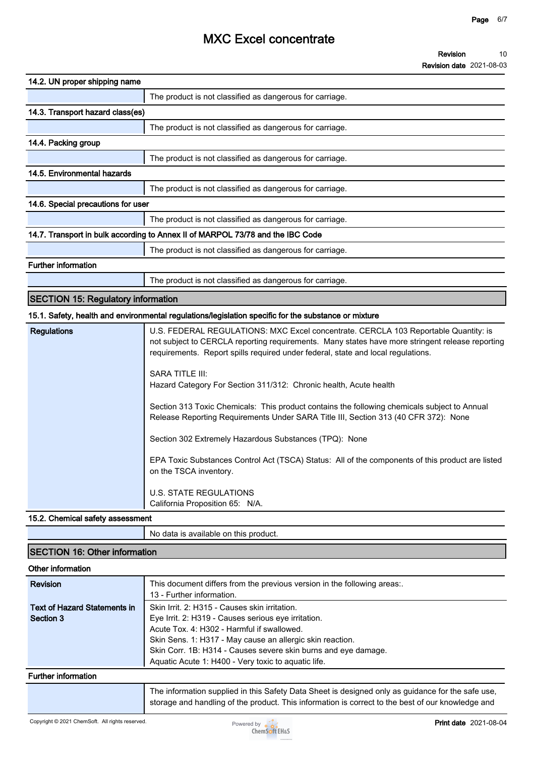**Revision date 2021-08-03**

| 14.2. UN proper shipping name             |                                                                                                                                                                                                                                                                                                                                                                                                                                                                                                                                                                                                                                                                                                                                                                                                                              |
|-------------------------------------------|------------------------------------------------------------------------------------------------------------------------------------------------------------------------------------------------------------------------------------------------------------------------------------------------------------------------------------------------------------------------------------------------------------------------------------------------------------------------------------------------------------------------------------------------------------------------------------------------------------------------------------------------------------------------------------------------------------------------------------------------------------------------------------------------------------------------------|
|                                           | The product is not classified as dangerous for carriage.                                                                                                                                                                                                                                                                                                                                                                                                                                                                                                                                                                                                                                                                                                                                                                     |
| 14.3. Transport hazard class(es)          |                                                                                                                                                                                                                                                                                                                                                                                                                                                                                                                                                                                                                                                                                                                                                                                                                              |
|                                           | The product is not classified as dangerous for carriage.                                                                                                                                                                                                                                                                                                                                                                                                                                                                                                                                                                                                                                                                                                                                                                     |
| 14.4. Packing group                       |                                                                                                                                                                                                                                                                                                                                                                                                                                                                                                                                                                                                                                                                                                                                                                                                                              |
|                                           | The product is not classified as dangerous for carriage.                                                                                                                                                                                                                                                                                                                                                                                                                                                                                                                                                                                                                                                                                                                                                                     |
| 14.5. Environmental hazards               |                                                                                                                                                                                                                                                                                                                                                                                                                                                                                                                                                                                                                                                                                                                                                                                                                              |
|                                           | The product is not classified as dangerous for carriage.                                                                                                                                                                                                                                                                                                                                                                                                                                                                                                                                                                                                                                                                                                                                                                     |
| 14.6. Special precautions for user        |                                                                                                                                                                                                                                                                                                                                                                                                                                                                                                                                                                                                                                                                                                                                                                                                                              |
|                                           | The product is not classified as dangerous for carriage.                                                                                                                                                                                                                                                                                                                                                                                                                                                                                                                                                                                                                                                                                                                                                                     |
|                                           | 14.7. Transport in bulk according to Annex II of MARPOL 73/78 and the IBC Code                                                                                                                                                                                                                                                                                                                                                                                                                                                                                                                                                                                                                                                                                                                                               |
|                                           | The product is not classified as dangerous for carriage.                                                                                                                                                                                                                                                                                                                                                                                                                                                                                                                                                                                                                                                                                                                                                                     |
| <b>Further information</b>                |                                                                                                                                                                                                                                                                                                                                                                                                                                                                                                                                                                                                                                                                                                                                                                                                                              |
|                                           | The product is not classified as dangerous for carriage.                                                                                                                                                                                                                                                                                                                                                                                                                                                                                                                                                                                                                                                                                                                                                                     |
| <b>SECTION 15: Regulatory information</b> |                                                                                                                                                                                                                                                                                                                                                                                                                                                                                                                                                                                                                                                                                                                                                                                                                              |
|                                           | 15.1. Safety, health and environmental regulations/legislation specific for the substance or mixture                                                                                                                                                                                                                                                                                                                                                                                                                                                                                                                                                                                                                                                                                                                         |
| <b>Regulations</b>                        | U.S. FEDERAL REGULATIONS: MXC Excel concentrate. CERCLA 103 Reportable Quantity: is<br>not subject to CERCLA reporting requirements. Many states have more stringent release reporting<br>requirements. Report spills required under federal, state and local regulations.<br><b>SARA TITLE III:</b><br>Hazard Category For Section 311/312: Chronic health, Acute health<br>Section 313 Toxic Chemicals: This product contains the following chemicals subject to Annual<br>Release Reporting Requirements Under SARA Title III, Section 313 (40 CFR 372): None<br>Section 302 Extremely Hazardous Substances (TPQ): None<br>EPA Toxic Substances Control Act (TSCA) Status: All of the components of this product are listed<br>on the TSCA inventory.<br><b>U.S. STATE REGULATIONS</b><br>California Proposition 65: N/A. |
| 15.2. Chemical safety assessment          |                                                                                                                                                                                                                                                                                                                                                                                                                                                                                                                                                                                                                                                                                                                                                                                                                              |
|                                           | No data is available on this product.                                                                                                                                                                                                                                                                                                                                                                                                                                                                                                                                                                                                                                                                                                                                                                                        |

## **SECTION 16: Other information Other information Revision This document differs from the previous version in the following areas:. 13 - Further information. Text of Hazard Statements in Section 3 Skin Irrit. 2: H315 - Causes skin irritation. Eye Irrit. 2: H319 - Causes serious eye irritation. Acute Tox. 4: H302 - Harmful if swallowed. Skin Sens. 1: H317 - May cause an allergic skin reaction. Skin Corr. 1B: H314 - Causes severe skin burns and eye damage. Aquatic Acute 1: H400 - Very toxic to aquatic life. Further information The information supplied in this Safety Data Sheet is designed only as guidance for the safe use, storage and handling of the product. This information is correct to the best of our knowledge and**